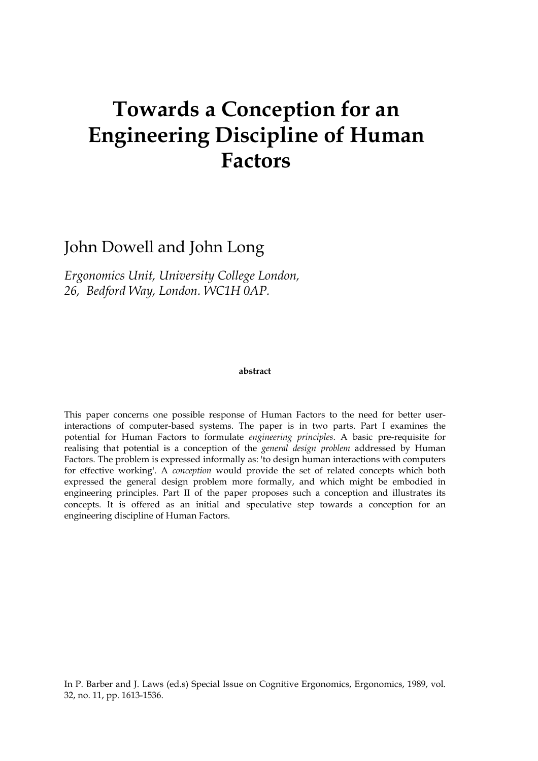# **Towards a Conception for an Engineering Discipline of Human Factors**

### John Dowell and John Long

*Ergonomics Unit, University College London, 26, Bedford Way, London. WC1H 0AP.* 

#### **abstract**

This paper concerns one possible response of Human Factors to the need for better userinteractions of computer-based systems. The paper is in two parts. Part I examines the potential for Human Factors to formulate *engineering principles*. A basic pre-requisite for realising that potential is a conception of the *general design problem* addressed by Human Factors. The problem is expressed informally as: 'to design human interactions with computers for effective working'. A *conception* would provide the set of related concepts which both expressed the general design problem more formally, and which might be embodied in engineering principles. Part II of the paper proposes such a conception and illustrates its concepts. It is offered as an initial and speculative step towards a conception for an engineering discipline of Human Factors.

In P. Barber and J. Laws (ed.s) Special Issue on Cognitive Ergonomics, Ergonomics, 1989, vol. 32, no. 11, pp. 1613-1536.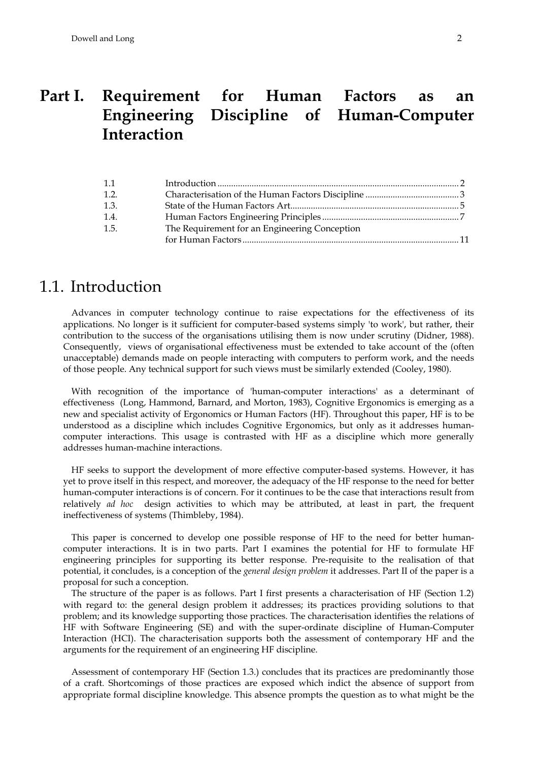# **Part I. Requirement for Human Factors as an Engineering Discipline of Human-Computer Interaction**

| 1.1  |                                               |  |
|------|-----------------------------------------------|--|
| 1.2. |                                               |  |
| 1.3. |                                               |  |
| 1.4. |                                               |  |
| 1.5. | The Requirement for an Engineering Conception |  |
|      |                                               |  |

### 1.1. Introduction

Advances in computer technology continue to raise expectations for the effectiveness of its applications. No longer is it sufficient for computer-based systems simply 'to work', but rather, their contribution to the success of the organisations utilising them is now under scrutiny (Didner, 1988). Consequently, views of organisational effectiveness must be extended to take account of the (often unacceptable) demands made on people interacting with computers to perform work, and the needs of those people. Any technical support for such views must be similarly extended (Cooley, 1980).

With recognition of the importance of 'human-computer interactions' as a determinant of effectiveness (Long, Hammond, Barnard, and Morton, 1983), Cognitive Ergonomics is emerging as a new and specialist activity of Ergonomics or Human Factors (HF). Throughout this paper, HF is to be understood as a discipline which includes Cognitive Ergonomics, but only as it addresses humancomputer interactions. This usage is contrasted with HF as a discipline which more generally addresses human-machine interactions.

HF seeks to support the development of more effective computer-based systems. However, it has yet to prove itself in this respect, and moreover, the adequacy of the HF response to the need for better human-computer interactions is of concern. For it continues to be the case that interactions result from relatively *ad hoc* design activities to which may be attributed, at least in part, the frequent ineffectiveness of systems (Thimbleby, 1984).

This paper is concerned to develop one possible response of HF to the need for better humancomputer interactions. It is in two parts. Part I examines the potential for HF to formulate HF engineering principles for supporting its better response. Pre-requisite to the realisation of that potential, it concludes, is a conception of the *general design problem* it addresses. Part II of the paper is a proposal for such a conception.

The structure of the paper is as follows. Part I first presents a characterisation of HF (Section 1.2) with regard to: the general design problem it addresses; its practices providing solutions to that problem; and its knowledge supporting those practices. The characterisation identifies the relations of HF with Software Engineering (SE) and with the super-ordinate discipline of Human-Computer Interaction (HCI). The characterisation supports both the assessment of contemporary HF and the arguments for the requirement of an engineering HF discipline.

Assessment of contemporary HF (Section 1.3.) concludes that its practices are predominantly those of a craft. Shortcomings of those practices are exposed which indict the absence of support from appropriate formal discipline knowledge. This absence prompts the question as to what might be the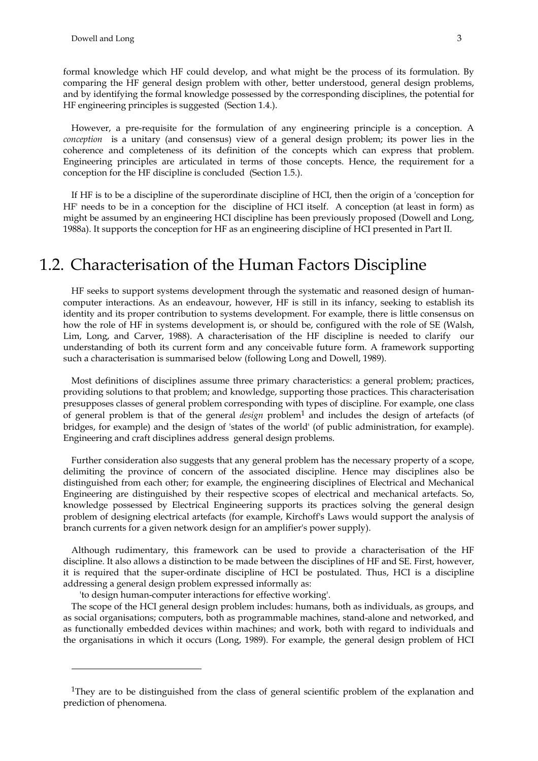formal knowledge which HF could develop, and what might be the process of its formulation. By comparing the HF general design problem with other, better understood, general design problems, and by identifying the formal knowledge possessed by the corresponding disciplines, the potential for HF engineering principles is suggested (Section 1.4.).

However, a pre-requisite for the formulation of any engineering principle is a conception. A *conception* is a unitary (and consensus) view of a general design problem; its power lies in the coherence and completeness of its definition of the concepts which can express that problem. Engineering principles are articulated in terms of those concepts. Hence, the requirement for a conception for the HF discipline is concluded (Section 1.5.).

If HF is to be a discipline of the superordinate discipline of HCI, then the origin of a 'conception for HF' needs to be in a conception for the discipline of HCI itself. A conception (at least in form) as might be assumed by an engineering HCI discipline has been previously proposed (Dowell and Long, 1988a). It supports the conception for HF as an engineering discipline of HCI presented in Part II.

### 1.2. Characterisation of the Human Factors Discipline

HF seeks to support systems development through the systematic and reasoned design of humancomputer interactions. As an endeavour, however, HF is still in its infancy, seeking to establish its identity and its proper contribution to systems development. For example, there is little consensus on how the role of HF in systems development is, or should be, configured with the role of SE (Walsh, Lim, Long, and Carver, 1988). A characterisation of the HF discipline is needed to clarify our understanding of both its current form and any conceivable future form. A framework supporting such a characterisation is summarised below (following Long and Dowell, 1989).

Most definitions of disciplines assume three primary characteristics: a general problem; practices, providing solutions to that problem; and knowledge, supporting those practices. This characterisation presupposes classes of general problem corresponding with types of discipline. For example, one class of general problem is that of the general *design* proble[m1](#page-2-0) and includes the design of artefacts (of bridges, for example) and the design of 'states of the world' (of public administration, for example). Engineering and craft disciplines address general design problems.

Further consideration also suggests that any general problem has the necessary property of a scope, delimiting the province of concern of the associated discipline. Hence may disciplines also be distinguished from each other; for example, the engineering disciplines of Electrical and Mechanical Engineering are distinguished by their respective scopes of electrical and mechanical artefacts. So, knowledge possessed by Electrical Engineering supports its practices solving the general design problem of designing electrical artefacts (for example, Kirchoff's Laws would support the analysis of branch currents for a given network design for an amplifier's power supply).

Although rudimentary, this framework can be used to provide a characterisation of the HF discipline. It also allows a distinction to be made between the disciplines of HF and SE. First, however, it is required that the super-ordinate discipline of HCI be postulated. Thus, HCI is a discipline addressing a general design problem expressed informally as:

'to design human-computer interactions for effective working'.

j

The scope of the HCI general design problem includes: humans, both as individuals, as groups, and as social organisations; computers, both as programmable machines, stand-alone and networked, and as functionally embedded devices within machines; and work, both with regard to individuals and the organisations in which it occurs (Long, 1989). For example, the general design problem of HCI

<span id="page-2-0"></span><sup>&</sup>lt;sup>1</sup>They are to be distinguished from the class of general scientific problem of the explanation and prediction of phenomena.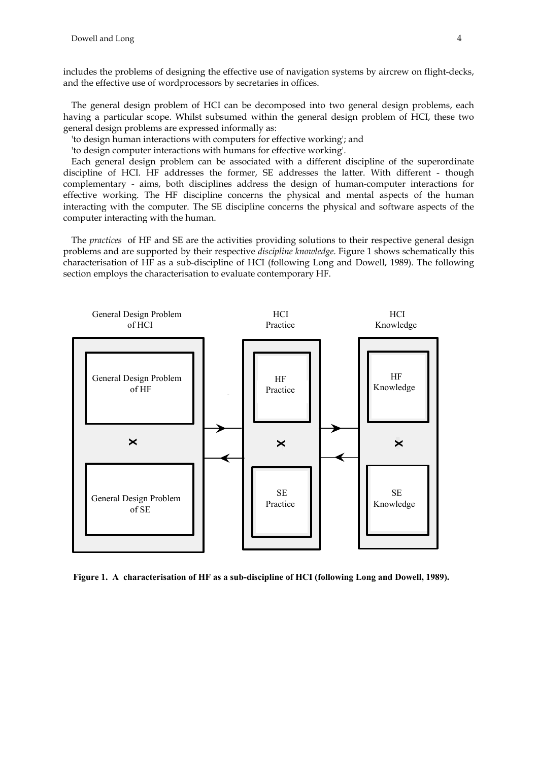includes the problems of designing the effective use of navigation systems by aircrew on flight-decks, and the effective use of wordprocessors by secretaries in offices.

The general design problem of HCI can be decomposed into two general design problems, each having a particular scope. Whilst subsumed within the general design problem of HCI, these two general design problems are expressed informally as:

'to design human interactions with computers for effective working'; and

'to design computer interactions with humans for effective working'.

Each general design problem can be associated with a different discipline of the superordinate discipline of HCI. HF addresses the former, SE addresses the latter. With different - though complementary - aims, both disciplines address the design of human-computer interactions for effective working. The HF discipline concerns the physical and mental aspects of the human interacting with the computer. The SE discipline concerns the physical and software aspects of the computer interacting with the human.

The *practices* of HF and SE are the activities providing solutions to their respective general design problems and are supported by their respective *discipline knowledge*. Figure 1 shows schematically this characterisation of HF as a sub-discipline of HCI (following Long and Dowell, 1989). The following section employs the characterisation to evaluate contemporary HF.



**Figure 1. A characterisation of HF as a sub-discipline of HCI (following Long and Dowell, 1989).**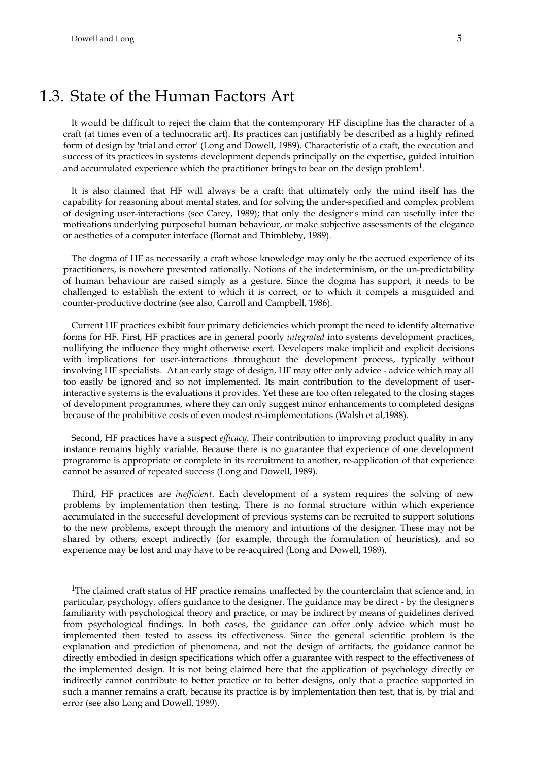-

### 1.3. State of the Human Factors Art

It would be difficult to reject the claim that the contemporary HF discipline has the character of a craft (at times even of a technocratic art). Its practices can justifiably be described as a highly refined form of design by 'trial and error' (Long and Dowell, 1989). Characteristic of a craft, the execution and success of its practices in systems development depends principally on the expertise, guided intuition and accumulated experience which the practitioner brings to bear on the design problem<sup>1</sup>.

It is also claimed that HF will always be a craft: that ultimately only the mind itself has the capability for reasoning about mental states, and for solving the under-specified and complex problem of designing user-interactions (see Carey, 1989); that only the designer's mind can usefully infer the motivations underlying purposeful human behaviour, or make subjective assessments of the elegance or aesthetics of a computer interface (Bornat and Thimbleby, 1989).

The dogma of HF as necessarily a craft whose knowledge may only be the accrued experience of its practitioners, is nowhere presented rationally. Notions of the indeterminism, or the un-predictability of human behaviour are raised simply as a gesture. Since the dogma has support, it needs to be challenged to establish the extent to which it is correct, or to which it compels a misguided and counter-productive doctrine (see also, Carroll and Campbell, 1986).

Current HF practices exhibit four primary deficiencies which prompt the need to identify alternative forms for HF. First, HF practices are in general poorly *integrated* into systems development practices, nullifying the influence they might otherwise exert. Developers make implicit and explicit decisions with implications for user-interactions throughout the development process, typically without involving HF specialists. At an early stage of design, HF may offer only advice - advice which may all too easily be ignored and so not implemented. Its main contribution to the development of userinteractive systems is the evaluations it provides. Yet these are too often relegated to the closing stages of development programmes, where they can only suggest minor enhancements to completed designs because of the prohibitive costs of even modest re-implementations (Walsh et al,1988).

Second, HF practices have a suspect *efficacy*. Their contribution to improving product quality in any instance remains highly variable. Because there is no guarantee that experience of one development programme is appropriate or complete in its recruitment to another, re-application of that experience cannot be assured of repeated success (Long and Dowell, 1989).

Third, HF practices are *inefficient*. Each development of a system requires the solving of new problems by implementation then testing. There is no formal structure within which experience accumulated in the successful development of previous systems can be recruited to support solutions to the new problems, except through the memory and intuitions of the designer. These may not be shared by others, except indirectly (for example, through the formulation of heuristics), and so experience may be lost and may have to be re-acquired (Long and Dowell, 1989).

<span id="page-4-0"></span><sup>&</sup>lt;sup>1</sup>The claimed craft status of HF practice remains unaffected by the counterclaim that science and, in particular, psychology, offers guidance to the designer. The guidance may be direct - by the designer's familiarity with psychological theory and practice, or may be indirect by means of guidelines derived from psychological findings. In both cases, the guidance can offer only advice which must be implemented then tested to assess its effectiveness. Since the general scientific problem is the explanation and prediction of phenomena, and not the design of artifacts, the guidance cannot be directly embodied in design specifications which offer a guarantee with respect to the effectiveness of the implemented design. It is not being claimed here that the application of psychology directly or indirectly cannot contribute to better practice or to better designs, only that a practice supported in such a manner remains a craft, because its practice is by implementation then test, that is, by trial and error (see also Long and Dowell, 1989).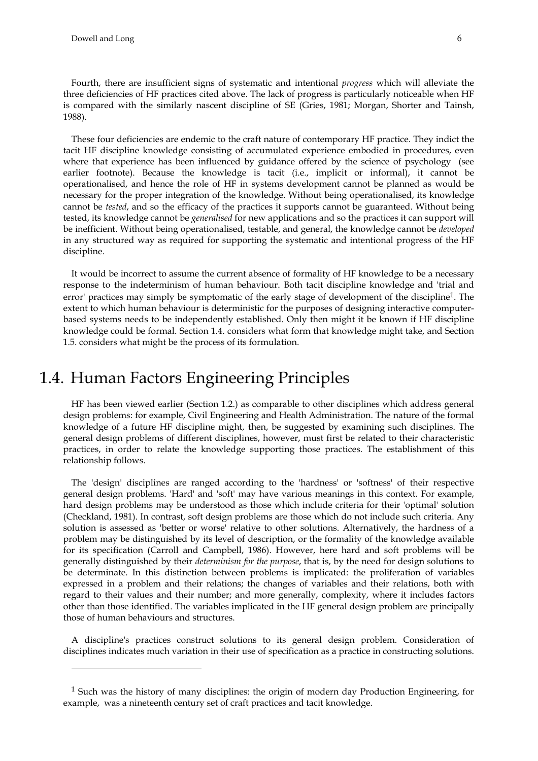j

Fourth, there are insufficient signs of systematic and intentional *progress* which will alleviate the three deficiencies of HF practices cited above. The lack of progress is particularly noticeable when HF is compared with the similarly nascent discipline of SE (Gries, 1981; Morgan, Shorter and Tainsh, 1988).

These four deficiencies are endemic to the craft nature of contemporary HF practice. They indict the tacit HF discipline knowledge consisting of accumulated experience embodied in procedures, even where that experience has been influenced by guidance offered by the science of psychology (see earlier footnote). Because the knowledge is tacit (i.e., implicit or informal), it cannot be operationalised, and hence the role of HF in systems development cannot be planned as would be necessary for the proper integration of the knowledge. Without being operationalised, its knowledge cannot be *tested*, and so the efficacy of the practices it supports cannot be guaranteed. Without being tested, its knowledge cannot be *generalised* for new applications and so the practices it can support will be inefficient. Without being operationalised, testable, and general, the knowledge cannot be *developed* in any structured way as required for supporting the systematic and intentional progress of the HF discipline.

It would be incorrect to assume the current absence of formality of HF knowledge to be a necessary response to the indeterminism of human behaviour. Both tacit discipline knowledge and 'trial and error' practices may simply be symptomatic of the early stage of development of the discipline<sup>1</sup>. The extent to which human behaviour is deterministic for the purposes of designing interactive computerbased systems needs to be independently established. Only then might it be known if HF discipline knowledge could be formal. Section 1.4. considers what form that knowledge might take, and Section 1.5. considers what might be the process of its formulation.

### 1.4. Human Factors Engineering Principles

HF has been viewed earlier (Section 1.2.) as comparable to other disciplines which address general design problems: for example, Civil Engineering and Health Administration. The nature of the formal knowledge of a future HF discipline might, then, be suggested by examining such disciplines. The general design problems of different disciplines, however, must first be related to their characteristic practices, in order to relate the knowledge supporting those practices. The establishment of this relationship follows.

The 'design' disciplines are ranged according to the 'hardness' or 'softness' of their respective general design problems. 'Hard' and 'soft' may have various meanings in this context. For example, hard design problems may be understood as those which include criteria for their 'optimal' solution (Checkland, 1981). In contrast, soft design problems are those which do not include such criteria. Any solution is assessed as 'better or worse' relative to other solutions. Alternatively, the hardness of a problem may be distinguished by its level of description, or the formality of the knowledge available for its specification (Carroll and Campbell, 1986). However, here hard and soft problems will be generally distinguished by their *determinism for the purpose*, that is, by the need for design solutions to be determinate. In this distinction between problems is implicated: the proliferation of variables expressed in a problem and their relations; the changes of variables and their relations, both with regard to their values and their number; and more generally, complexity, where it includes factors other than those identified. The variables implicated in the HF general design problem are principally those of human behaviours and structures.

A discipline's practices construct solutions to its general design problem. Consideration of disciplines indicates much variation in their use of specification as a practice in constructing solutions.

<span id="page-5-0"></span><sup>1</sup> Such was the history of many disciplines: the origin of modern day Production Engineering, for example, was a nineteenth century set of craft practices and tacit knowledge.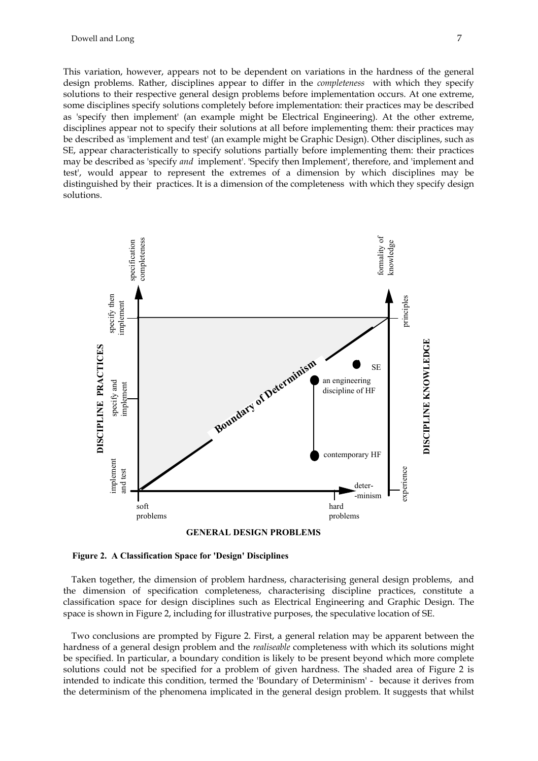This variation, however, appears not to be dependent on variations in the hardness of the general design problems. Rather, disciplines appear to differ in the *completeness* with which they specify solutions to their respective general design problems before implementation occurs. At one extreme, some disciplines specify solutions completely before implementation: their practices may be described as 'specify then implement' (an example might be Electrical Engineering). At the other extreme, disciplines appear not to specify their solutions at all before implementing them: their practices may be described as 'implement and test' (an example might be Graphic Design). Other disciplines, such as SE, appear characteristically to specify solutions partially before implementing them: their practices may be described as 'specify *and* implement'. 'Specify then Implement', therefore, and 'implement and test', would appear to represent the extremes of a dimension by which disciplines may be distinguished by their practices. It is a dimension of the completeness with which they specify design solutions.





**Figure 2. A Classification Space for 'Design' Disciplines**

Taken together, the dimension of problem hardness, characterising general design problems, and the dimension of specification completeness, characterising discipline practices, constitute a classification space for design disciplines such as Electrical Engineering and Graphic Design. The space is shown in Figure 2, including for illustrative purposes, the speculative location of SE.

Two conclusions are prompted by Figure 2. First, a general relation may be apparent between the hardness of a general design problem and the *realiseable* completeness with which its solutions might be specified. In particular, a boundary condition is likely to be present beyond which more complete solutions could not be specified for a problem of given hardness. The shaded area of Figure 2 is intended to indicate this condition, termed the 'Boundary of Determinism' - because it derives from the determinism of the phenomena implicated in the general design problem. It suggests that whilst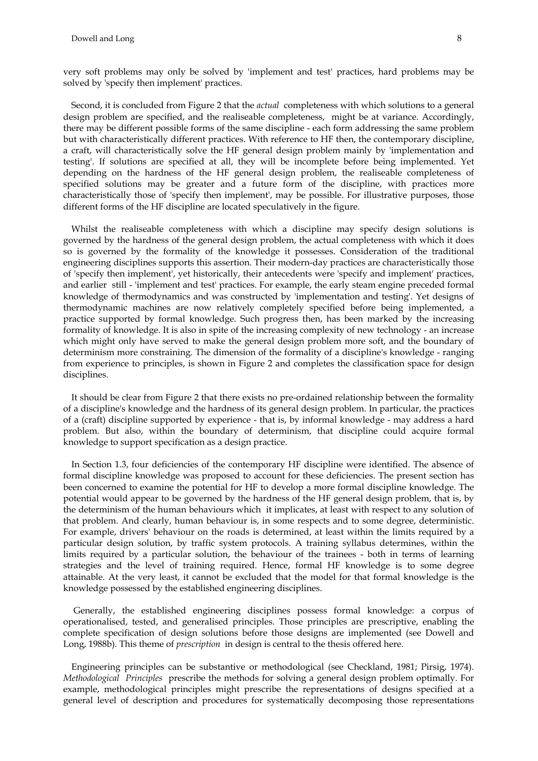very soft problems may only be solved by 'implement and test' practices, hard problems may be solved by 'specify then implement' practices.

Second, it is concluded from Figure 2 that the *actual* completeness with which solutions to a general design problem are specified, and the realiseable completeness, might be at variance. Accordingly, there may be different possible forms of the same discipline - each form addressing the same problem but with characteristically different practices. With reference to HF then, the contemporary discipline, a craft, will characteristically solve the HF general design problem mainly by 'implementation and testing'. If solutions are specified at all, they will be incomplete before being implemented. Yet depending on the hardness of the HF general design problem, the realiseable completeness of specified solutions may be greater and a future form of the discipline, with practices more characteristically those of 'specify then implement', may be possible. For illustrative purposes, those different forms of the HF discipline are located speculatively in the figure.

Whilst the realiseable completeness with which a discipline may specify design solutions is governed by the hardness of the general design problem, the actual completeness with which it does so is governed by the formality of the knowledge it possesses. Consideration of the traditional engineering disciplines supports this assertion. Their modern-day practices are characteristically those of 'specify then implement', yet historically, their antecedents were 'specify and implement' practices, and earlier still - 'implement and test' practices. For example, the early steam engine preceded formal knowledge of thermodynamics and was constructed by 'implementation and testing'. Yet designs of thermodynamic machines are now relatively completely specified before being implemented, a practice supported by formal knowledge. Such progress then, has been marked by the increasing formality of knowledge. It is also in spite of the increasing complexity of new technology - an increase which might only have served to make the general design problem more soft, and the boundary of determinism more constraining. The dimension of the formality of a discipline's knowledge - ranging from experience to principles, is shown in Figure 2 and completes the classification space for design disciplines.

It should be clear from Figure 2 that there exists no pre-ordained relationship between the formality of a discipline's knowledge and the hardness of its general design problem. In particular, the practices of a (craft) discipline supported by experience - that is, by informal knowledge - may address a hard problem. But also, within the boundary of determinism, that discipline could acquire formal knowledge to support specification as a design practice.

In Section 1.3, four deficiencies of the contemporary HF discipline were identified. The absence of formal discipline knowledge was proposed to account for these deficiencies. The present section has been concerned to examine the potential for HF to develop a more formal discipline knowledge. The potential would appear to be governed by the hardness of the HF general design problem, that is, by the determinism of the human behaviours which it implicates, at least with respect to any solution of that problem. And clearly, human behaviour is, in some respects and to some degree, deterministic. For example, drivers' behaviour on the roads is determined, at least within the limits required by a particular design solution, by traffic system protocols. A training syllabus determines, within the limits required by a particular solution, the behaviour of the trainees - both in terms of learning strategies and the level of training required. Hence, formal HF knowledge is to some degree attainable. At the very least, it cannot be excluded that the model for that formal knowledge is the knowledge possessed by the established engineering disciplines.

 Generally, the established engineering disciplines possess formal knowledge: a corpus of operationalised, tested, and generalised principles. Those principles are prescriptive, enabling the complete specification of design solutions before those designs are implemented (see Dowell and Long, 1988b). This theme of *prescription* in design is central to the thesis offered here.

Engineering principles can be substantive or methodological (see Checkland, 1981; Pirsig, 1974). *Methodological Principles* prescribe the methods for solving a general design problem optimally. For example, methodological principles might prescribe the representations of designs specified at a general level of description and procedures for systematically decomposing those representations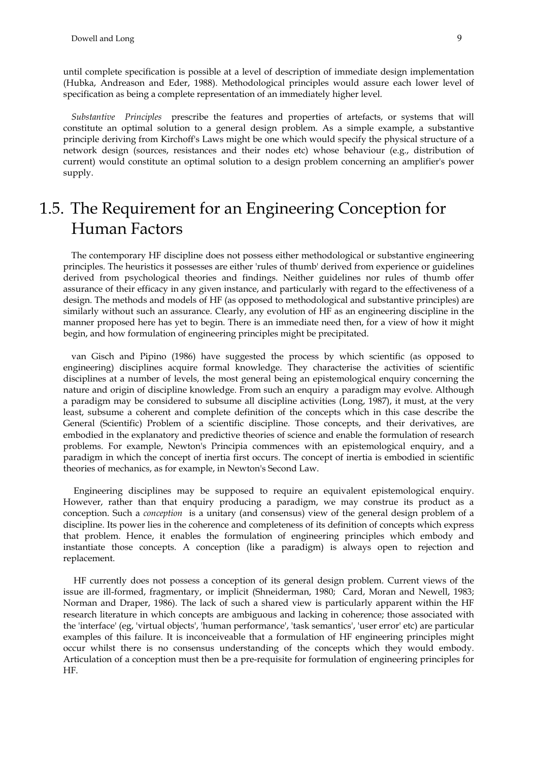until complete specification is possible at a level of description of immediate design implementation (Hubka, Andreason and Eder, 1988). Methodological principles would assure each lower level of specification as being a complete representation of an immediately higher level.

*Substantive Principles* prescribe the features and properties of artefacts, or systems that will constitute an optimal solution to a general design problem. As a simple example, a substantive principle deriving from Kirchoff's Laws might be one which would specify the physical structure of a network design (sources, resistances and their nodes etc) whose behaviour (e.g., distribution of current) would constitute an optimal solution to a design problem concerning an amplifier's power supply.

# 1.5. The Requirement for an Engineering Conception for Human Factors

The contemporary HF discipline does not possess either methodological or substantive engineering principles. The heuristics it possesses are either 'rules of thumb' derived from experience or guidelines derived from psychological theories and findings. Neither guidelines nor rules of thumb offer assurance of their efficacy in any given instance, and particularly with regard to the effectiveness of a design. The methods and models of HF (as opposed to methodological and substantive principles) are similarly without such an assurance. Clearly, any evolution of HF as an engineering discipline in the manner proposed here has yet to begin. There is an immediate need then, for a view of how it might begin, and how formulation of engineering principles might be precipitated.

van Gisch and Pipino (1986) have suggested the process by which scientific (as opposed to engineering) disciplines acquire formal knowledge. They characterise the activities of scientific disciplines at a number of levels, the most general being an epistemological enquiry concerning the nature and origin of discipline knowledge. From such an enquiry a paradigm may evolve. Although a paradigm may be considered to subsume all discipline activities (Long, 1987), it must, at the very least, subsume a coherent and complete definition of the concepts which in this case describe the General (Scientific) Problem of a scientific discipline. Those concepts, and their derivatives, are embodied in the explanatory and predictive theories of science and enable the formulation of research problems. For example, Newton's Principia commences with an epistemological enquiry, and a paradigm in which the concept of inertia first occurs. The concept of inertia is embodied in scientific theories of mechanics, as for example, in Newton's Second Law.

 Engineering disciplines may be supposed to require an equivalent epistemological enquiry. However, rather than that enquiry producing a paradigm, we may construe its product as a conception. Such a *conception* is a unitary (and consensus) view of the general design problem of a discipline. Its power lies in the coherence and completeness of its definition of concepts which express that problem. Hence, it enables the formulation of engineering principles which embody and instantiate those concepts. A conception (like a paradigm) is always open to rejection and replacement.

 HF currently does not possess a conception of its general design problem. Current views of the issue are ill-formed, fragmentary, or implicit (Shneiderman, 1980; Card, Moran and Newell, 1983; Norman and Draper, 1986). The lack of such a shared view is particularly apparent within the HF research literature in which concepts are ambiguous and lacking in coherence; those associated with the 'interface' (eg, 'virtual objects', 'human performance', 'task semantics', 'user error' etc) are particular examples of this failure. It is inconceiveable that a formulation of HF engineering principles might occur whilst there is no consensus understanding of the concepts which they would embody. Articulation of a conception must then be a pre-requisite for formulation of engineering principles for HF.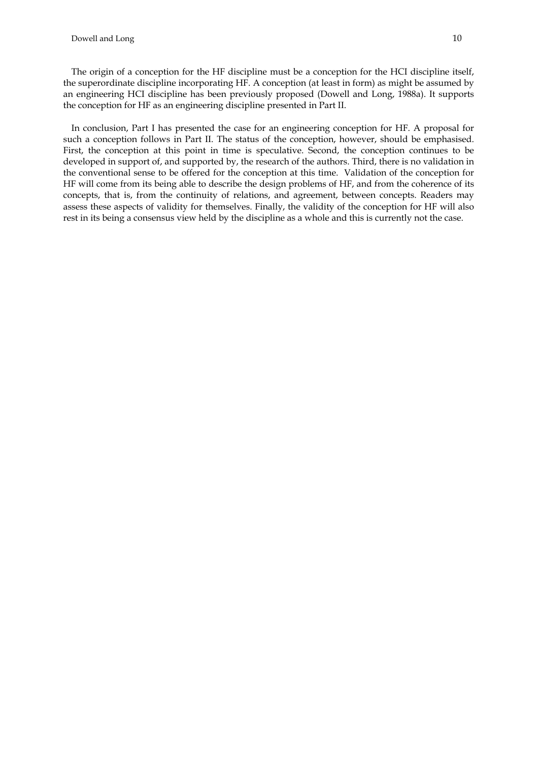The origin of a conception for the HF discipline must be a conception for the HCI discipline itself, the superordinate discipline incorporating HF. A conception (at least in form) as might be assumed by an engineering HCI discipline has been previously proposed (Dowell and Long, 1988a). It supports the conception for HF as an engineering discipline presented in Part II.

In conclusion, Part I has presented the case for an engineering conception for HF. A proposal for such a conception follows in Part II. The status of the conception, however, should be emphasised. First, the conception at this point in time is speculative. Second, the conception continues to be developed in support of, and supported by, the research of the authors. Third, there is no validation in the conventional sense to be offered for the conception at this time. Validation of the conception for HF will come from its being able to describe the design problems of HF, and from the coherence of its concepts, that is, from the continuity of relations, and agreement, between concepts. Readers may assess these aspects of validity for themselves. Finally, the validity of the conception for HF will also rest in its being a consensus view held by the discipline as a whole and this is currently not the case.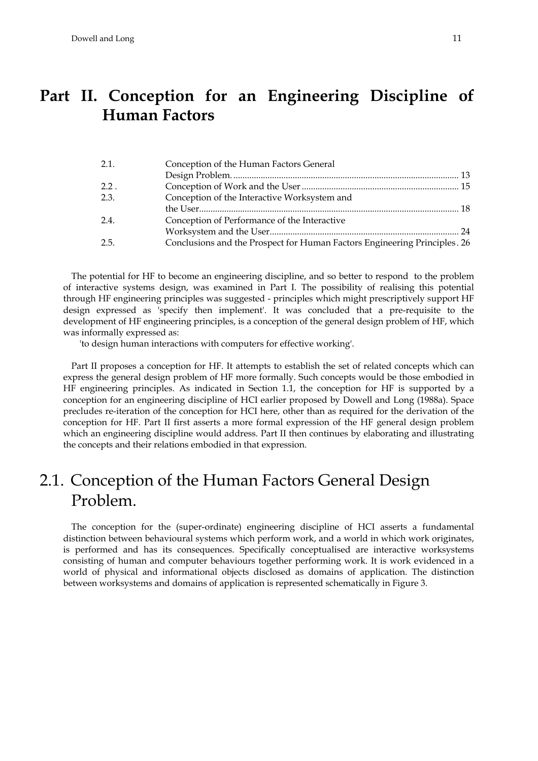# **Part II. Conception for an Engineering Discipline of Human Factors**

| 2.1. | Conception of the Human Factors General                                   |  |
|------|---------------------------------------------------------------------------|--|
|      |                                                                           |  |
| 2.2. |                                                                           |  |
| 2.3. | Conception of the Interactive Worksystem and                              |  |
|      |                                                                           |  |
| 2.4. | Conception of Performance of the Interactive                              |  |
|      |                                                                           |  |
| 2.5. | Conclusions and the Prospect for Human Factors Engineering Principles. 26 |  |

The potential for HF to become an engineering discipline, and so better to respond to the problem of interactive systems design, was examined in Part I. The possibility of realising this potential through HF engineering principles was suggested - principles which might prescriptively support HF design expressed as 'specify then implement'. It was concluded that a pre-requisite to the development of HF engineering principles, is a conception of the general design problem of HF, which was informally expressed as:

'to design human interactions with computers for effective working'.

Part II proposes a conception for HF. It attempts to establish the set of related concepts which can express the general design problem of HF more formally. Such concepts would be those embodied in HF engineering principles. As indicated in Section 1.1, the conception for HF is supported by a conception for an engineering discipline of HCI earlier proposed by Dowell and Long (1988a). Space precludes re-iteration of the conception for HCI here, other than as required for the derivation of the conception for HF. Part II first asserts a more formal expression of the HF general design problem which an engineering discipline would address. Part II then continues by elaborating and illustrating the concepts and their relations embodied in that expression.

# 2.1. Conception of the Human Factors General Design Problem.

The conception for the (super-ordinate) engineering discipline of HCI asserts a fundamental distinction between behavioural systems which perform work, and a world in which work originates, is performed and has its consequences. Specifically conceptualised are interactive worksystems consisting of human and computer behaviours together performing work. It is work evidenced in a world of physical and informational objects disclosed as domains of application. The distinction between worksystems and domains of application is represented schematically in Figure 3.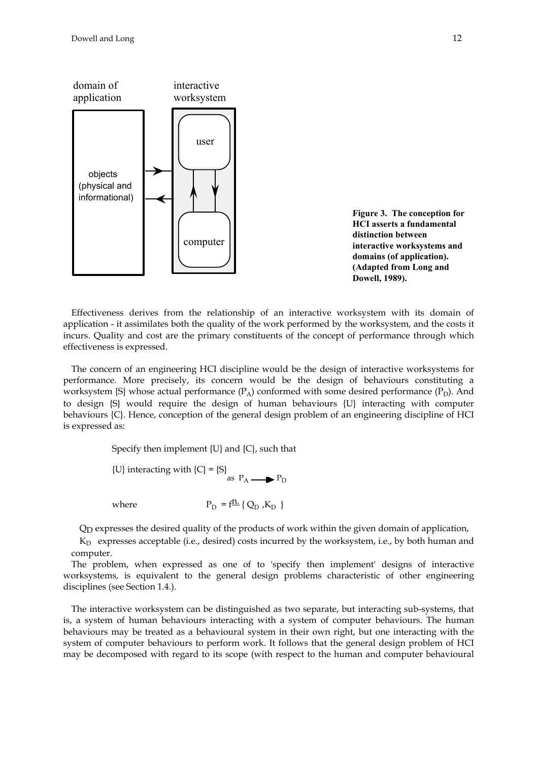



Effectiveness derives from the relationship of an interactive worksystem with its domain of application - it assimilates both the quality of the work performed by the worksystem, and the costs it incurs. Quality and cost are the primary constituents of the concept of performance through which effectiveness is expressed.

The concern of an engineering HCI discipline would be the design of interactive worksystems for performance. More precisely, its concern would be the design of behaviours constituting a worksystem  $\{S\}$  whose actual performance  $(P_A)$  conformed with some desired performance  $(P_D)$ . And to design {S} would require the design of human behaviours {U} interacting with computer behaviours {C}. Hence, conception of the general design problem of an engineering discipline of HCI is expressed as:

Specify then implement {U} and {C}, such that

 $\{U\}$  interacting with  $\{C\} = \{S\}$ as  $P_A \longrightarrow P_D$ where  $P_D = f^{\underline{n}} \{ Q_D, K_D \}$ 

QD expresses the desired quality of the products of work within the given domain of application,

 $K_D$  expresses acceptable (i.e., desired) costs incurred by the worksystem, i.e., by both human and computer.

The problem, when expressed as one of to 'specify then implement' designs of interactive worksystems, is equivalent to the general design problems characteristic of other engineering disciplines (see Section 1.4.).

The interactive worksystem can be distinguished as two separate, but interacting sub-systems, that is, a system of human behaviours interacting with a system of computer behaviours. The human behaviours may be treated as a behavioural system in their own right, but one interacting with the system of computer behaviours to perform work. It follows that the general design problem of HCI may be decomposed with regard to its scope (with respect to the human and computer behavioural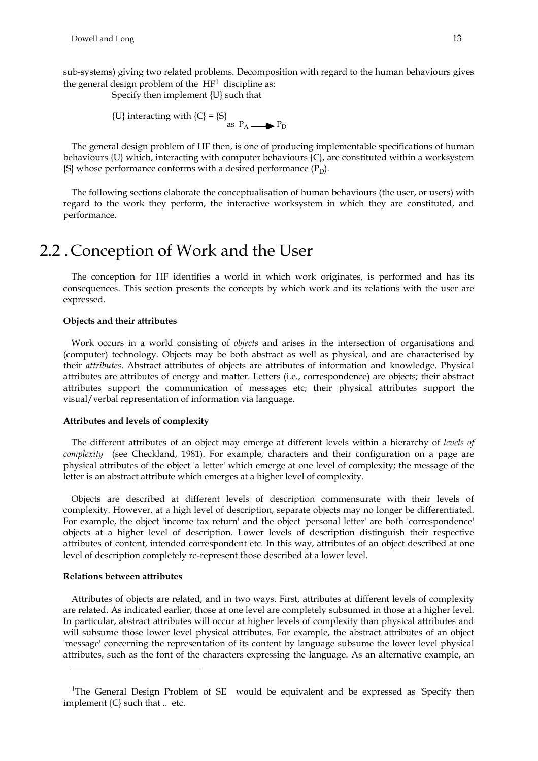sub-systems) giving two related problems. Decomposition with regard to the human behaviours gives the general design problem of the  $HF<sup>1</sup>$  discipline as:

Specify then implement {U} such that

$$
\text{[U] interacting with [C] = [S]} \text{as } P_A \longrightarrow P_D
$$

The general design problem of HF then, is one of producing implementable specifications of human behaviours {U} which, interacting with computer behaviours {C}, are constituted within a worksystem  $\{S\}$  whose performance conforms with a desired performance  $(P_D)$ .

The following sections elaborate the conceptualisation of human behaviours (the user, or users) with regard to the work they perform, the interactive worksystem in which they are constituted, and performance.

### 2.2 . Conception of Work and the User

The conception for HF identifies a world in which work originates, is performed and has its consequences. This section presents the concepts by which work and its relations with the user are expressed.

#### **Objects and their attributes**

Work occurs in a world consisting of *objects* and arises in the intersection of organisations and (computer) technology. Objects may be both abstract as well as physical, and are characterised by their *attributes*. Abstract attributes of objects are attributes of information and knowledge. Physical attributes are attributes of energy and matter. Letters (i.e., correspondence) are objects; their abstract attributes support the communication of messages etc; their physical attributes support the visual/verbal representation of information via language.

#### **Attributes and levels of complexity**

The different attributes of an object may emerge at different levels within a hierarchy of *levels of complexity* (see Checkland, 1981). For example, characters and their configuration on a page are physical attributes of the object 'a letter' which emerge at one level of complexity; the message of the letter is an abstract attribute which emerges at a higher level of complexity.

Objects are described at different levels of description commensurate with their levels of complexity. However, at a high level of description, separate objects may no longer be differentiated. For example, the object 'income tax return' and the object 'personal letter' are both 'correspondence' objects at a higher level of description. Lower levels of description distinguish their respective attributes of content, intended correspondent etc. In this way, attributes of an object described at one level of description completely re-represent those described at a lower level.

#### **Relations between attributes**

j

Attributes of objects are related, and in two ways. First, attributes at different levels of complexity are related. As indicated earlier, those at one level are completely subsumed in those at a higher level. In particular, abstract attributes will occur at higher levels of complexity than physical attributes and will subsume those lower level physical attributes. For example, the abstract attributes of an object 'message' concerning the representation of its content by language subsume the lower level physical attributes, such as the font of the characters expressing the language. As an alternative example, an

<span id="page-12-0"></span><sup>&</sup>lt;sup>1</sup>The General Design Problem of SE would be equivalent and be expressed as 'Specify then implement  $\{C\}$  such that  $\ldots$  etc.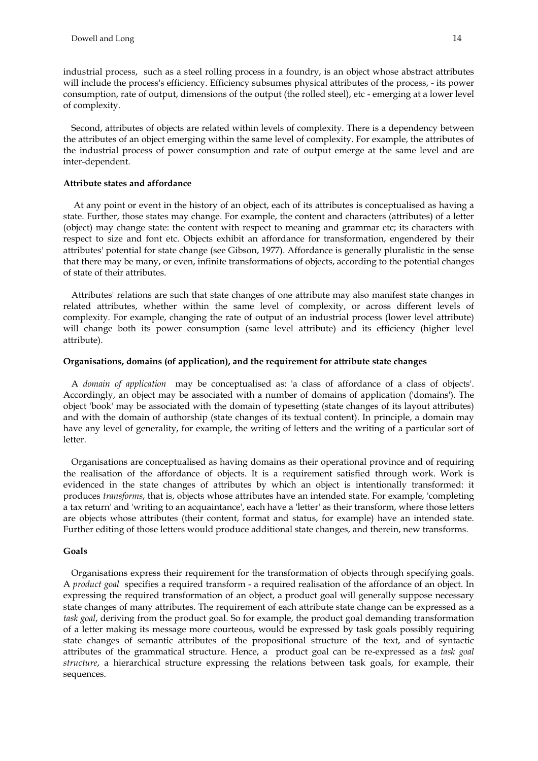industrial process, such as a steel rolling process in a foundry, is an object whose abstract attributes will include the process's efficiency. Efficiency subsumes physical attributes of the process, - its power consumption, rate of output, dimensions of the output (the rolled steel), etc - emerging at a lower level of complexity.

Second, attributes of objects are related within levels of complexity. There is a dependency between the attributes of an object emerging within the same level of complexity. For example, the attributes of the industrial process of power consumption and rate of output emerge at the same level and are inter-dependent.

#### **Attribute states and affordance**

 At any point or event in the history of an object, each of its attributes is conceptualised as having a state. Further, those states may change. For example, the content and characters (attributes) of a letter (object) may change state: the content with respect to meaning and grammar etc; its characters with respect to size and font etc. Objects exhibit an affordance for transformation, engendered by their attributes' potential for state change (see Gibson, 1977). Affordance is generally pluralistic in the sense that there may be many, or even, infinite transformations of objects, according to the potential changes of state of their attributes.

Attributes' relations are such that state changes of one attribute may also manifest state changes in related attributes, whether within the same level of complexity, or across different levels of complexity. For example, changing the rate of output of an industrial process (lower level attribute) will change both its power consumption (same level attribute) and its efficiency (higher level attribute).

#### **Organisations, domains (of application), and the requirement for attribute state changes**

A *domain of application* may be conceptualised as: 'a class of affordance of a class of objects'. Accordingly, an object may be associated with a number of domains of application ('domains'). The object 'book' may be associated with the domain of typesetting (state changes of its layout attributes) and with the domain of authorship (state changes of its textual content). In principle, a domain may have any level of generality, for example, the writing of letters and the writing of a particular sort of letter.

Organisations are conceptualised as having domains as their operational province and of requiring the realisation of the affordance of objects. It is a requirement satisfied through work. Work is evidenced in the state changes of attributes by which an object is intentionally transformed: it produces *transforms*, that is, objects whose attributes have an intended state. For example, 'completing a tax return' and 'writing to an acquaintance', each have a 'letter' as their transform, where those letters are objects whose attributes (their content, format and status, for example) have an intended state. Further editing of those letters would produce additional state changes, and therein, new transforms.

#### **Goals**

Organisations express their requirement for the transformation of objects through specifying goals. A *product goal* specifies a required transform - a required realisation of the affordance of an object. In expressing the required transformation of an object, a product goal will generally suppose necessary state changes of many attributes. The requirement of each attribute state change can be expressed as a *task goal*, deriving from the product goal. So for example, the product goal demanding transformation of a letter making its message more courteous, would be expressed by task goals possibly requiring state changes of semantic attributes of the propositional structure of the text, and of syntactic attributes of the grammatical structure. Hence, a product goal can be re-expressed as a *task goal structure*, a hierarchical structure expressing the relations between task goals, for example, their sequences.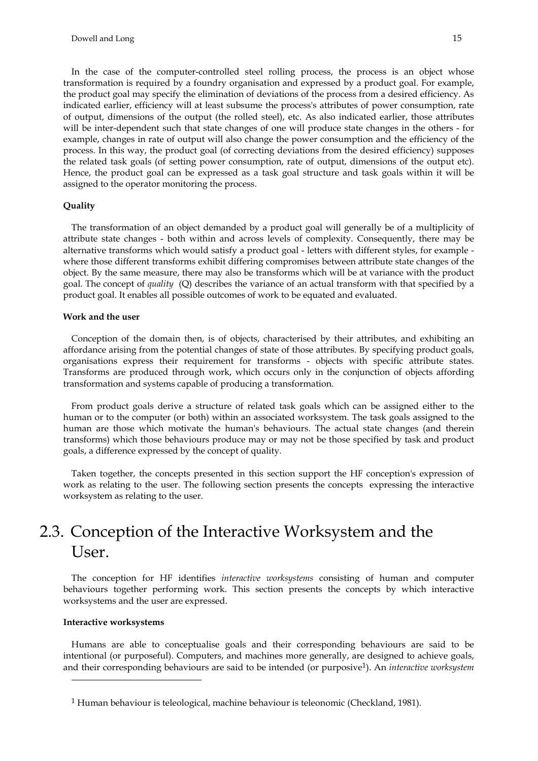In the case of the computer-controlled steel rolling process, the process is an object whose transformation is required by a foundry organisation and expressed by a product goal. For example, the product goal may specify the elimination of deviations of the process from a desired efficiency. As indicated earlier, efficiency will at least subsume the process's attributes of power consumption, rate of output, dimensions of the output (the rolled steel), etc. As also indicated earlier, those attributes will be inter-dependent such that state changes of one will produce state changes in the others - for example, changes in rate of output will also change the power consumption and the efficiency of the process. In this way, the product goal (of correcting deviations from the desired efficiency) supposes the related task goals (of setting power consumption, rate of output, dimensions of the output etc). Hence, the product goal can be expressed as a task goal structure and task goals within it will be assigned to the operator monitoring the process.

#### **Quality**

The transformation of an object demanded by a product goal will generally be of a multiplicity of attribute state changes - both within and across levels of complexity. Consequently, there may be alternative transforms which would satisfy a product goal - letters with different styles, for example where those different transforms exhibit differing compromises between attribute state changes of the object. By the same measure, there may also be transforms which will be at variance with the product goal. The concept of *quality* (Q) describes the variance of an actual transform with that specified by a product goal. It enables all possible outcomes of work to be equated and evaluated.

#### **Work and the user**

Conception of the domain then, is of objects, characterised by their attributes, and exhibiting an affordance arising from the potential changes of state of those attributes. By specifying product goals, organisations express their requirement for transforms - objects with specific attribute states. Transforms are produced through work, which occurs only in the conjunction of objects affording transformation and systems capable of producing a transformation.

From product goals derive a structure of related task goals which can be assigned either to the human or to the computer (or both) within an associated worksystem. The task goals assigned to the human are those which motivate the human's behaviours. The actual state changes (and therein transforms) which those behaviours produce may or may not be those specified by task and product goals, a difference expressed by the concept of quality.

Taken together, the concepts presented in this section support the HF conception's expression of work as relating to the user. The following section presents the concepts expressing the interactive worksystem as relating to the user.

### 2.3. Conception of the Interactive Worksystem and the User.

The conception for HF identifies *interactive worksystems* consisting of human and computer behaviours together performing work. This section presents the concepts by which interactive worksystems and the user are expressed.

#### **Interactive worksystems**

j

Humans are able to conceptualise goals and their corresponding behaviours are said to be intentional (or purposeful). Computers, and machines more generally, are designed to achieve goals, and their corresponding behaviours are said to be intended (or purposive[1\)](#page-14-0). An *interactive worksystem*

<span id="page-14-0"></span><sup>1</sup> Human behaviour is teleological, machine behaviour is teleonomic (Checkland, 1981).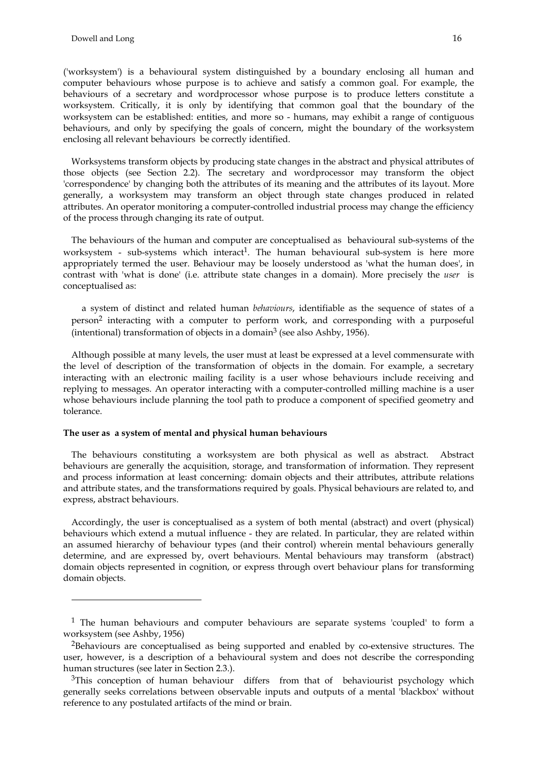j

('worksystem') is a behavioural system distinguished by a boundary enclosing all human and computer behaviours whose purpose is to achieve and satisfy a common goal. For example, the behaviours of a secretary and wordprocessor whose purpose is to produce letters constitute a worksystem. Critically, it is only by identifying that common goal that the boundary of the worksystem can be established: entities, and more so - humans, may exhibit a range of contiguous behaviours, and only by specifying the goals of concern, might the boundary of the worksystem enclosing all relevant behaviours be correctly identified.

Worksystems transform objects by producing state changes in the abstract and physical attributes of those objects (see Section 2.2). The secretary and wordprocessor may transform the object 'correspondence' by changing both the attributes of its meaning and the attributes of its layout. More generally, a worksystem may transform an object through state changes produced in related attributes. An operator monitoring a computer-controlled industrial process may change the efficiency of the process through changing its rate of output.

The behaviours of the human and computer are conceptualised as behavioural sub-systems of the worksystem - sub-systems which interact<sup>1</sup>. The human behavioural sub-system is here more appropriately termed the user. Behaviour may be loosely understood as 'what the human does', in contrast with 'what is done' (i.e. attribute state changes in a domain). More precisely the *user* is conceptualised as:

 a system of distinct and related human *behaviours*, identifiable as the sequence of states of a perso[n2](#page-15-1) interacting with a computer to perform work, and corresponding with a purposeful  $(intentional) transformation of objects in a domain<sup>3</sup> (see also Ashby, 1956).$ 

Although possible at many levels, the user must at least be expressed at a level commensurate with the level of description of the transformation of objects in the domain. For example, a secretary interacting with an electronic mailing facility is a user whose behaviours include receiving and replying to messages. An operator interacting with a computer-controlled milling machine is a user whose behaviours include planning the tool path to produce a component of specified geometry and tolerance.

#### **The user as a system of mental and physical human behaviours**

The behaviours constituting a worksystem are both physical as well as abstract. Abstract behaviours are generally the acquisition, storage, and transformation of information. They represent and process information at least concerning: domain objects and their attributes, attribute relations and attribute states, and the transformations required by goals. Physical behaviours are related to, and express, abstract behaviours.

Accordingly, the user is conceptualised as a system of both mental (abstract) and overt (physical) behaviours which extend a mutual influence - they are related. In particular, they are related within an assumed hierarchy of behaviour types (and their control) wherein mental behaviours generally determine, and are expressed by, overt behaviours. Mental behaviours may transform (abstract) domain objects represented in cognition, or express through overt behaviour plans for transforming domain objects.

<span id="page-15-0"></span><sup>1</sup> The human behaviours and computer behaviours are separate systems 'coupled' to form a worksystem (see Ashby, 1956)

<span id="page-15-1"></span><sup>2</sup>Behaviours are conceptualised as being supported and enabled by co-extensive structures. The user, however, is a description of a behavioural system and does not describe the corresponding human structures (see later in Section 2.3.).

<span id="page-15-2"></span><sup>&</sup>lt;sup>3</sup>This conception of human behaviour differs from that of behaviourist psychology which generally seeks correlations between observable inputs and outputs of a mental 'blackbox' without reference to any postulated artifacts of the mind or brain.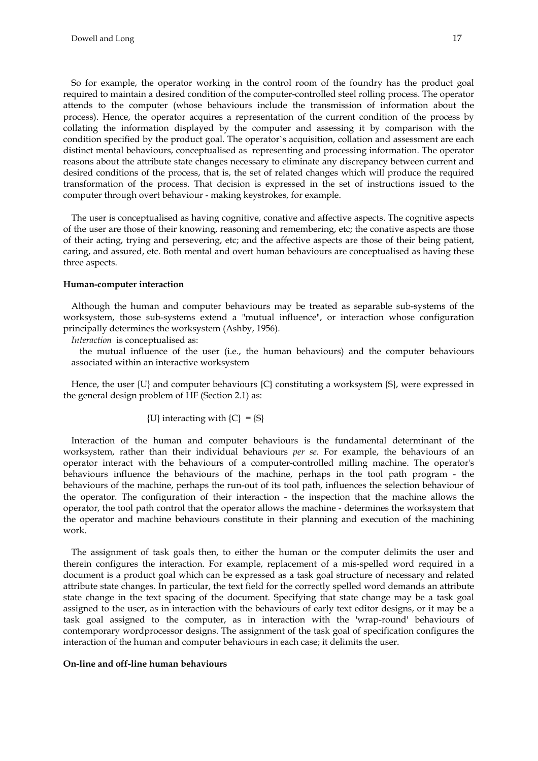So for example, the operator working in the control room of the foundry has the product goal required to maintain a desired condition of the computer-controlled steel rolling process. The operator attends to the computer (whose behaviours include the transmission of information about the process). Hence, the operator acquires a representation of the current condition of the process by collating the information displayed by the computer and assessing it by comparison with the condition specified by the product goal. The operator`s acquisition, collation and assessment are each distinct mental behaviours, conceptualised as representing and processing information. The operator reasons about the attribute state changes necessary to eliminate any discrepancy between current and desired conditions of the process, that is, the set of related changes which will produce the required transformation of the process. That decision is expressed in the set of instructions issued to the computer through overt behaviour - making keystrokes, for example.

The user is conceptualised as having cognitive, conative and affective aspects. The cognitive aspects of the user are those of their knowing, reasoning and remembering, etc; the conative aspects are those of their acting, trying and persevering, etc; and the affective aspects are those of their being patient, caring, and assured, etc. Both mental and overt human behaviours are conceptualised as having these three aspects.

#### **Human-computer interaction**

Although the human and computer behaviours may be treated as separable sub-systems of the worksystem, those sub-systems extend a "mutual influence", or interaction whose configuration principally determines the worksystem (Ashby, 1956).

*Interaction* is conceptualised as:

the mutual influence of the user (i.e., the human behaviours) and the computer behaviours associated within an interactive worksystem

Hence, the user {U} and computer behaviours {C} constituting a worksystem {S}, were expressed in the general design problem of HF (Section 2.1) as:

#### $\{U\}$  interacting with  $\{C\} = \{S\}$

Interaction of the human and computer behaviours is the fundamental determinant of the worksystem, rather than their individual behaviours *per se*. For example, the behaviours of an operator interact with the behaviours of a computer-controlled milling machine. The operator's behaviours influence the behaviours of the machine, perhaps in the tool path program - the behaviours of the machine, perhaps the run-out of its tool path, influences the selection behaviour of the operator. The configuration of their interaction - the inspection that the machine allows the operator, the tool path control that the operator allows the machine - determines the worksystem that the operator and machine behaviours constitute in their planning and execution of the machining work.

The assignment of task goals then, to either the human or the computer delimits the user and therein configures the interaction. For example, replacement of a mis-spelled word required in a document is a product goal which can be expressed as a task goal structure of necessary and related attribute state changes. In particular, the text field for the correctly spelled word demands an attribute state change in the text spacing of the document. Specifying that state change may be a task goal assigned to the user, as in interaction with the behaviours of early text editor designs, or it may be a task goal assigned to the computer, as in interaction with the 'wrap-round' behaviours of contemporary wordprocessor designs. The assignment of the task goal of specification configures the interaction of the human and computer behaviours in each case; it delimits the user.

#### **On-line and off-line human behaviours**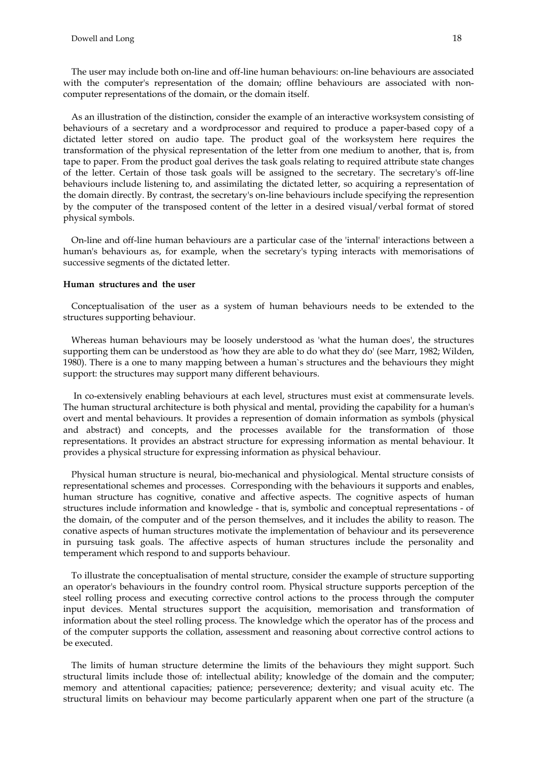The user may include both on-line and off-line human behaviours: on-line behaviours are associated with the computer's representation of the domain; offline behaviours are associated with noncomputer representations of the domain, or the domain itself.

As an illustration of the distinction, consider the example of an interactive worksystem consisting of behaviours of a secretary and a wordprocessor and required to produce a paper-based copy of a dictated letter stored on audio tape. The product goal of the worksystem here requires the transformation of the physical representation of the letter from one medium to another, that is, from tape to paper. From the product goal derives the task goals relating to required attribute state changes of the letter. Certain of those task goals will be assigned to the secretary. The secretary's off-line behaviours include listening to, and assimilating the dictated letter, so acquiring a representation of the domain directly. By contrast, the secretary's on-line behaviours include specifying the represention by the computer of the transposed content of the letter in a desired visual/verbal format of stored physical symbols.

On-line and off-line human behaviours are a particular case of the 'internal' interactions between a human's behaviours as, for example, when the secretary's typing interacts with memorisations of successive segments of the dictated letter.

#### **Human structures and the user**

Conceptualisation of the user as a system of human behaviours needs to be extended to the structures supporting behaviour.

Whereas human behaviours may be loosely understood as 'what the human does', the structures supporting them can be understood as 'how they are able to do what they do' (see Marr, 1982; Wilden, 1980). There is a one to many mapping between a human`s structures and the behaviours they might support: the structures may support many different behaviours.

 In co-extensively enabling behaviours at each level, structures must exist at commensurate levels. The human structural architecture is both physical and mental, providing the capability for a human's overt and mental behaviours. It provides a represention of domain information as symbols (physical and abstract) and concepts, and the processes available for the transformation of those representations. It provides an abstract structure for expressing information as mental behaviour. It provides a physical structure for expressing information as physical behaviour.

Physical human structure is neural, bio-mechanical and physiological. Mental structure consists of representational schemes and processes. Corresponding with the behaviours it supports and enables, human structure has cognitive, conative and affective aspects. The cognitive aspects of human structures include information and knowledge - that is, symbolic and conceptual representations - of the domain, of the computer and of the person themselves, and it includes the ability to reason. The conative aspects of human structures motivate the implementation of behaviour and its perseverence in pursuing task goals. The affective aspects of human structures include the personality and temperament which respond to and supports behaviour.

To illustrate the conceptualisation of mental structure, consider the example of structure supporting an operator's behaviours in the foundry control room. Physical structure supports perception of the steel rolling process and executing corrective control actions to the process through the computer input devices. Mental structures support the acquisition, memorisation and transformation of information about the steel rolling process. The knowledge which the operator has of the process and of the computer supports the collation, assessment and reasoning about corrective control actions to be executed.

The limits of human structure determine the limits of the behaviours they might support. Such structural limits include those of: intellectual ability; knowledge of the domain and the computer; memory and attentional capacities; patience; perseverence; dexterity; and visual acuity etc. The structural limits on behaviour may become particularly apparent when one part of the structure (a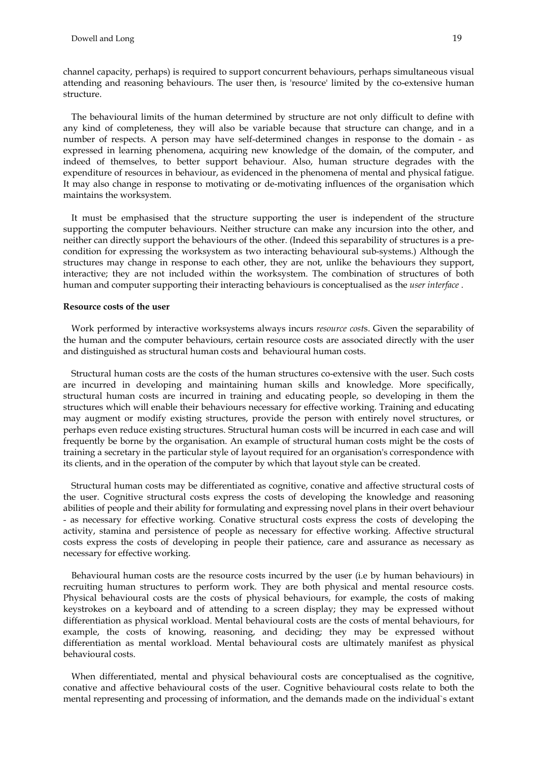channel capacity, perhaps) is required to support concurrent behaviours, perhaps simultaneous visual attending and reasoning behaviours. The user then, is 'resource' limited by the co-extensive human structure.

The behavioural limits of the human determined by structure are not only difficult to define with any kind of completeness, they will also be variable because that structure can change, and in a number of respects. A person may have self-determined changes in response to the domain - as expressed in learning phenomena, acquiring new knowledge of the domain, of the computer, and indeed of themselves, to better support behaviour. Also, human structure degrades with the expenditure of resources in behaviour, as evidenced in the phenomena of mental and physical fatigue. It may also change in response to motivating or de-motivating influences of the organisation which maintains the worksystem.

It must be emphasised that the structure supporting the user is independent of the structure supporting the computer behaviours. Neither structure can make any incursion into the other, and neither can directly support the behaviours of the other. (Indeed this separability of structures is a precondition for expressing the worksystem as two interacting behavioural sub-systems.) Although the structures may change in response to each other, they are not, unlike the behaviours they support, interactive; they are not included within the worksystem. The combination of structures of both human and computer supporting their interacting behaviours is conceptualised as the *user interface* .

#### **Resource costs of the user**

Work performed by interactive worksystems always incurs *resource cost*s. Given the separability of the human and the computer behaviours, certain resource costs are associated directly with the user and distinguished as structural human costs and behavioural human costs.

Structural human costs are the costs of the human structures co-extensive with the user. Such costs are incurred in developing and maintaining human skills and knowledge. More specifically, structural human costs are incurred in training and educating people, so developing in them the structures which will enable their behaviours necessary for effective working. Training and educating may augment or modify existing structures, provide the person with entirely novel structures, or perhaps even reduce existing structures. Structural human costs will be incurred in each case and will frequently be borne by the organisation. An example of structural human costs might be the costs of training a secretary in the particular style of layout required for an organisation's correspondence with its clients, and in the operation of the computer by which that layout style can be created.

Structural human costs may be differentiated as cognitive, conative and affective structural costs of the user. Cognitive structural costs express the costs of developing the knowledge and reasoning abilities of people and their ability for formulating and expressing novel plans in their overt behaviour - as necessary for effective working. Conative structural costs express the costs of developing the activity, stamina and persistence of people as necessary for effective working. Affective structural costs express the costs of developing in people their patience, care and assurance as necessary as necessary for effective working.

Behavioural human costs are the resource costs incurred by the user (i.e by human behaviours) in recruiting human structures to perform work. They are both physical and mental resource costs. Physical behavioural costs are the costs of physical behaviours, for example, the costs of making keystrokes on a keyboard and of attending to a screen display; they may be expressed without differentiation as physical workload. Mental behavioural costs are the costs of mental behaviours, for example, the costs of knowing, reasoning, and deciding; they may be expressed without differentiation as mental workload. Mental behavioural costs are ultimately manifest as physical behavioural costs.

When differentiated, mental and physical behavioural costs are conceptualised as the cognitive, conative and affective behavioural costs of the user. Cognitive behavioural costs relate to both the mental representing and processing of information, and the demands made on the individual`s extant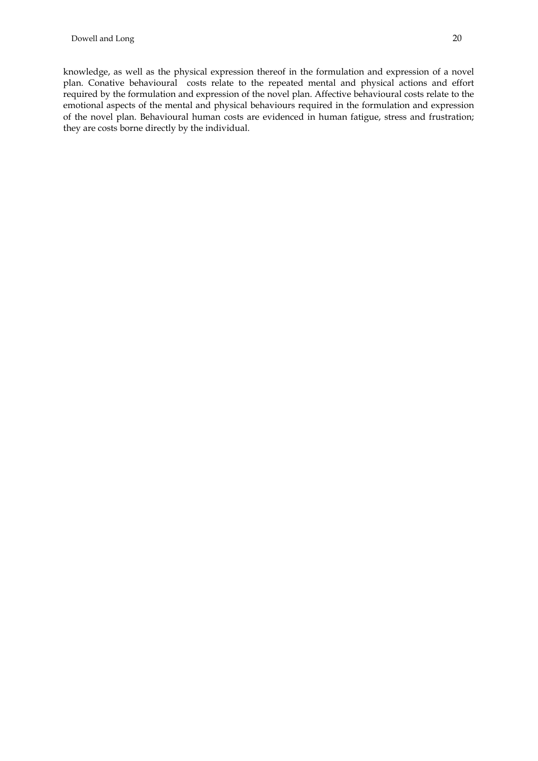knowledge, as well as the physical expression thereof in the formulation and expression of a novel plan. Conative behavioural costs relate to the repeated mental and physical actions and effort required by the formulation and expression of the novel plan. Affective behavioural costs relate to the emotional aspects of the mental and physical behaviours required in the formulation and expression of the novel plan. Behavioural human costs are evidenced in human fatigue, stress and frustration; they are costs borne directly by the individual.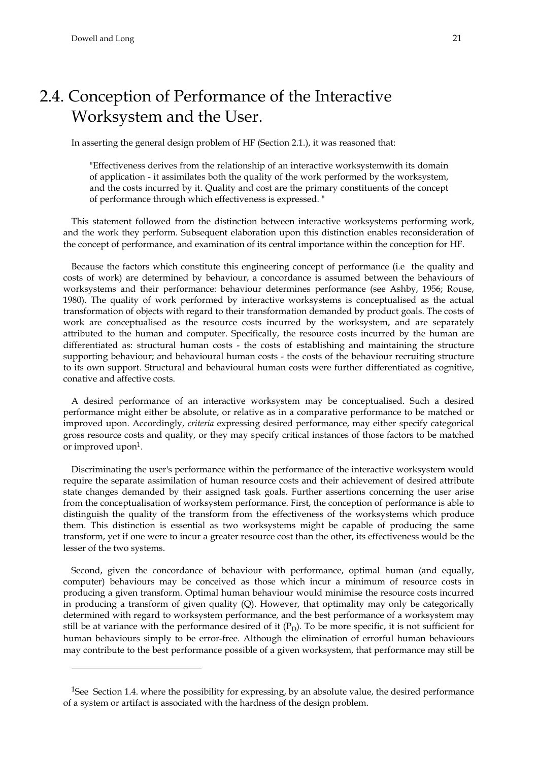j

# 2.4. Conception of Performance of the Interactive Worksystem and the User.

In asserting the general design problem of HF (Section 2.1.), it was reasoned that:

"Effectiveness derives from the relationship of an interactive worksystemwith its domain of application - it assimilates both the quality of the work performed by the worksystem, and the costs incurred by it. Quality and cost are the primary constituents of the concept of performance through which effectiveness is expressed. "

This statement followed from the distinction between interactive worksystems performing work, and the work they perform. Subsequent elaboration upon this distinction enables reconsideration of the concept of performance, and examination of its central importance within the conception for HF.

Because the factors which constitute this engineering concept of performance (i.e the quality and costs of work) are determined by behaviour, a concordance is assumed between the behaviours of worksystems and their performance: behaviour determines performance (see Ashby, 1956; Rouse, 1980). The quality of work performed by interactive worksystems is conceptualised as the actual transformation of objects with regard to their transformation demanded by product goals. The costs of work are conceptualised as the resource costs incurred by the worksystem, and are separately attributed to the human and computer. Specifically, the resource costs incurred by the human are differentiated as: structural human costs - the costs of establishing and maintaining the structure supporting behaviour; and behavioural human costs - the costs of the behaviour recruiting structure to its own support. Structural and behavioural human costs were further differentiated as cognitive, conative and affective costs.

A desired performance of an interactive worksystem may be conceptualised. Such a desired performance might either be absolute, or relative as in a comparative performance to be matched or improved upon. Accordingly, *criteria* expressing desired performance, may either specify categorical gross resource costs and quality, or they may specify critical instances of those factors to be matched or improved upon[1.](#page-20-0)

Discriminating the user's performance within the performance of the interactive worksystem would require the separate assimilation of human resource costs and their achievement of desired attribute state changes demanded by their assigned task goals. Further assertions concerning the user arise from the conceptualisation of worksystem performance. First, the conception of performance is able to distinguish the quality of the transform from the effectiveness of the worksystems which produce them. This distinction is essential as two worksystems might be capable of producing the same transform, yet if one were to incur a greater resource cost than the other, its effectiveness would be the lesser of the two systems.

Second, given the concordance of behaviour with performance, optimal human (and equally, computer) behaviours may be conceived as those which incur a minimum of resource costs in producing a given transform. Optimal human behaviour would minimise the resource costs incurred in producing a transform of given quality (Q). However, that optimality may only be categorically determined with regard to worksystem performance, and the best performance of a worksystem may still be at variance with the performance desired of it  $(P_D)$ . To be more specific, it is not sufficient for human behaviours simply to be error-free. Although the elimination of errorful human behaviours may contribute to the best performance possible of a given worksystem, that performance may still be

<span id="page-20-0"></span><sup>&</sup>lt;sup>1</sup>See Section 1.4. where the possibility for expressing, by an absolute value, the desired performance of a system or artifact is associated with the hardness of the design problem.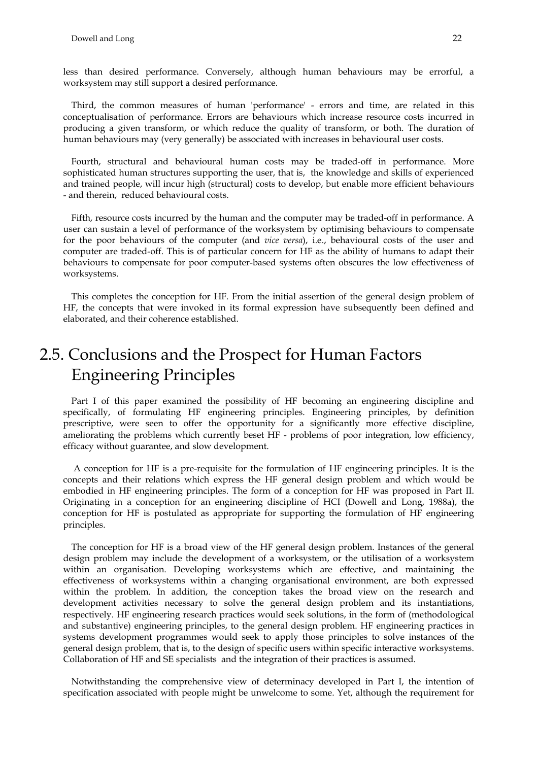less than desired performance. Conversely, although human behaviours may be errorful, a worksystem may still support a desired performance.

Third, the common measures of human 'performance' - errors and time, are related in this conceptualisation of performance. Errors are behaviours which increase resource costs incurred in producing a given transform, or which reduce the quality of transform, or both. The duration of human behaviours may (very generally) be associated with increases in behavioural user costs.

Fourth, structural and behavioural human costs may be traded-off in performance. More sophisticated human structures supporting the user, that is, the knowledge and skills of experienced and trained people, will incur high (structural) costs to develop, but enable more efficient behaviours - and therein, reduced behavioural costs.

Fifth, resource costs incurred by the human and the computer may be traded-off in performance. A user can sustain a level of performance of the worksystem by optimising behaviours to compensate for the poor behaviours of the computer (and *vice versa*), i.e., behavioural costs of the user and computer are traded-off. This is of particular concern for HF as the ability of humans to adapt their behaviours to compensate for poor computer-based systems often obscures the low effectiveness of worksystems.

This completes the conception for HF. From the initial assertion of the general design problem of HF, the concepts that were invoked in its formal expression have subsequently been defined and elaborated, and their coherence established.

# 2.5. Conclusions and the Prospect for Human Factors Engineering Principles

Part I of this paper examined the possibility of HF becoming an engineering discipline and specifically, of formulating HF engineering principles. Engineering principles, by definition prescriptive, were seen to offer the opportunity for a significantly more effective discipline, ameliorating the problems which currently beset HF - problems of poor integration, low efficiency, efficacy without guarantee, and slow development.

 A conception for HF is a pre-requisite for the formulation of HF engineering principles. It is the concepts and their relations which express the HF general design problem and which would be embodied in HF engineering principles. The form of a conception for HF was proposed in Part II. Originating in a conception for an engineering discipline of HCI (Dowell and Long, 1988a), the conception for HF is postulated as appropriate for supporting the formulation of HF engineering principles.

The conception for HF is a broad view of the HF general design problem. Instances of the general design problem may include the development of a worksystem, or the utilisation of a worksystem within an organisation. Developing worksystems which are effective, and maintaining the effectiveness of worksystems within a changing organisational environment, are both expressed within the problem. In addition, the conception takes the broad view on the research and development activities necessary to solve the general design problem and its instantiations, respectively. HF engineering research practices would seek solutions, in the form of (methodological and substantive) engineering principles, to the general design problem. HF engineering practices in systems development programmes would seek to apply those principles to solve instances of the general design problem, that is, to the design of specific users within specific interactive worksystems. Collaboration of HF and SE specialists and the integration of their practices is assumed.

Notwithstanding the comprehensive view of determinacy developed in Part I, the intention of specification associated with people might be unwelcome to some. Yet, although the requirement for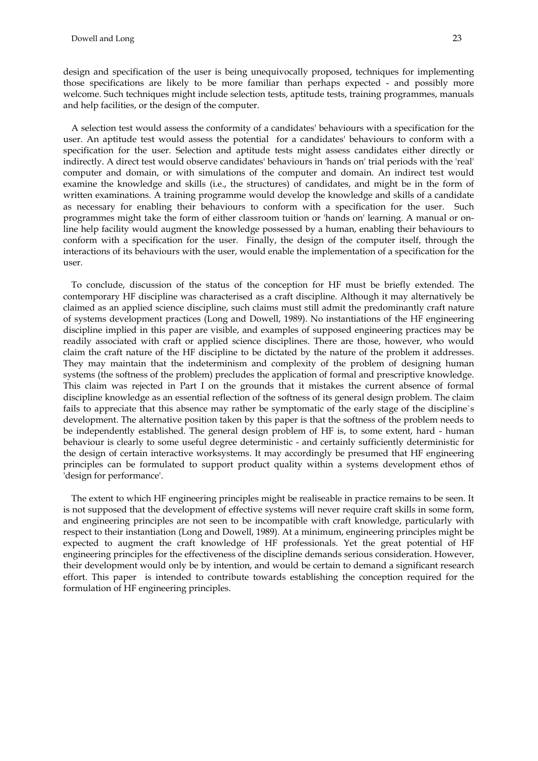and help facilities, or the design of the computer.

design and specification of the user is being unequivocally proposed, techniques for implementing those specifications are likely to be more familiar than perhaps expected - and possibly more welcome. Such techniques might include selection tests, aptitude tests, training programmes, manuals

A selection test would assess the conformity of a candidates' behaviours with a specification for the user. An aptitude test would assess the potential for a candidates' behaviours to conform with a specification for the user. Selection and aptitude tests might assess candidates either directly or indirectly. A direct test would observe candidates' behaviours in 'hands on' trial periods with the 'real' computer and domain, or with simulations of the computer and domain. An indirect test would examine the knowledge and skills (i.e., the structures) of candidates, and might be in the form of written examinations. A training programme would develop the knowledge and skills of a candidate as necessary for enabling their behaviours to conform with a specification for the user. Such programmes might take the form of either classroom tuition or 'hands on' learning. A manual or online help facility would augment the knowledge possessed by a human, enabling their behaviours to conform with a specification for the user. Finally, the design of the computer itself, through the interactions of its behaviours with the user, would enable the implementation of a specification for the user.

To conclude, discussion of the status of the conception for HF must be briefly extended. The contemporary HF discipline was characterised as a craft discipline. Although it may alternatively be claimed as an applied science discipline, such claims must still admit the predominantly craft nature of systems development practices (Long and Dowell, 1989). No instantiations of the HF engineering discipline implied in this paper are visible, and examples of supposed engineering practices may be readily associated with craft or applied science disciplines. There are those, however, who would claim the craft nature of the HF discipline to be dictated by the nature of the problem it addresses. They may maintain that the indeterminism and complexity of the problem of designing human systems (the softness of the problem) precludes the application of formal and prescriptive knowledge. This claim was rejected in Part I on the grounds that it mistakes the current absence of formal discipline knowledge as an essential reflection of the softness of its general design problem. The claim fails to appreciate that this absence may rather be symptomatic of the early stage of the discipline`s development. The alternative position taken by this paper is that the softness of the problem needs to be independently established. The general design problem of HF is, to some extent, hard - human behaviour is clearly to some useful degree deterministic - and certainly sufficiently deterministic for the design of certain interactive worksystems. It may accordingly be presumed that HF engineering principles can be formulated to support product quality within a systems development ethos of 'design for performance'.

The extent to which HF engineering principles might be realiseable in practice remains to be seen. It is not supposed that the development of effective systems will never require craft skills in some form, and engineering principles are not seen to be incompatible with craft knowledge, particularly with respect to their instantiation (Long and Dowell, 1989). At a minimum, engineering principles might be expected to augment the craft knowledge of HF professionals. Yet the great potential of HF engineering principles for the effectiveness of the discipline demands serious consideration. However, their development would only be by intention, and would be certain to demand a significant research effort. This paper is intended to contribute towards establishing the conception required for the formulation of HF engineering principles.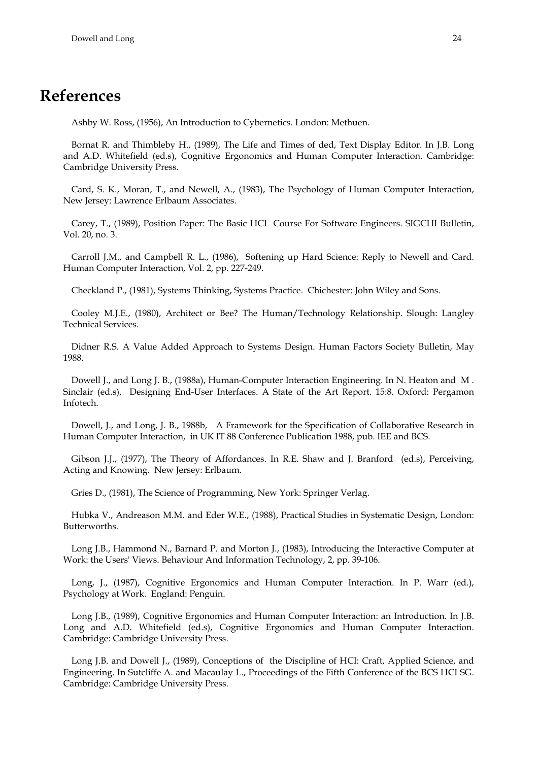### **References**

Ashby W. Ross, (1956), An Introduction to Cybernetics. London: Methuen.

Bornat R. and Thimbleby H., (1989), The Life and Times of ded, Text Display Editor. In J.B. Long and A.D. Whitefield (ed.s), Cognitive Ergonomics and Human Computer Interaction. Cambridge: Cambridge University Press.

Card, S. K., Moran, T., and Newell, A., (1983), The Psychology of Human Computer Interaction, New Jersey: Lawrence Erlbaum Associates.

Carey, T., (1989), Position Paper: The Basic HCI Course For Software Engineers. SIGCHI Bulletin, Vol. 20, no. 3.

Carroll J.M., and Campbell R. L., (1986), Softening up Hard Science: Reply to Newell and Card. Human Computer Interaction, Vol. 2, pp. 227-249.

Checkland P., (1981), Systems Thinking, Systems Practice. Chichester: John Wiley and Sons.

Cooley M.J.E., (1980), Architect or Bee? The Human/Technology Relationship. Slough: Langley Technical Services.

Didner R.S. A Value Added Approach to Systems Design. Human Factors Society Bulletin, May 1988.

Dowell J., and Long J. B., (1988a), Human-Computer Interaction Engineering. In N. Heaton and M . Sinclair (ed.s), Designing End-User Interfaces. A State of the Art Report. 15:8. Oxford: Pergamon Infotech.

Dowell, J., and Long, J. B., 1988b, A Framework for the Specification of Collaborative Research in Human Computer Interaction, in UK IT 88 Conference Publication 1988, pub. IEE and BCS.

Gibson J.J., (1977), The Theory of Affordances. In R.E. Shaw and J. Branford (ed.s), Perceiving, Acting and Knowing. New Jersey: Erlbaum.

Gries D., (1981), The Science of Programming, New York: Springer Verlag.

Hubka V., Andreason M.M. and Eder W.E., (1988), Practical Studies in Systematic Design, London: Butterworths.

Long J.B., Hammond N., Barnard P. and Morton J., (1983), Introducing the Interactive Computer at Work: the Users' Views. Behaviour And Information Technology, 2, pp. 39-106.

Long, J., (1987), Cognitive Ergonomics and Human Computer Interaction. In P. Warr (ed.), Psychology at Work. England: Penguin.

Long J.B., (1989), Cognitive Ergonomics and Human Computer Interaction: an Introduction. In J.B. Long and A.D. Whitefield (ed.s), Cognitive Ergonomics and Human Computer Interaction. Cambridge: Cambridge University Press.

Long J.B. and Dowell J., (1989), Conceptions of the Discipline of HCI: Craft, Applied Science, and Engineering. In Sutcliffe A. and Macaulay L., Proceedings of the Fifth Conference of the BCS HCI SG. Cambridge: Cambridge University Press.